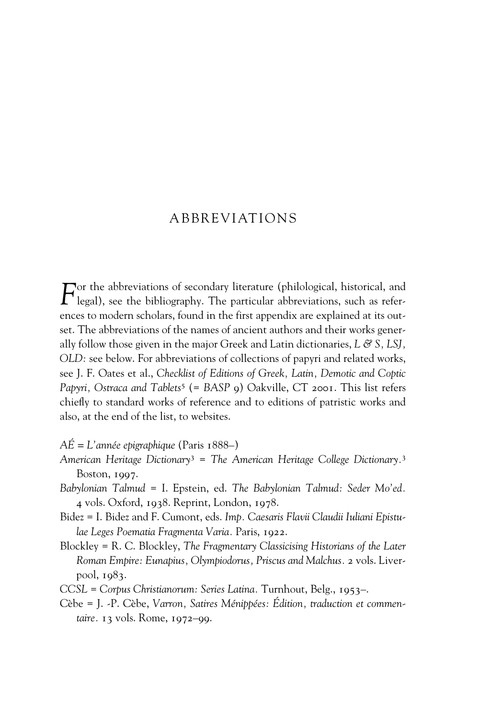## ABBREVIATIONS

 $F$ <sup>or the abbreviations of secondary literature (philological, historical, and legal), see the bibliography. The particular abbreviations, such as refer-</sup> ences to modern scholars, found in the first appendix are explained at its outset. The abbreviations of the names of ancient authors and their works generally follow those given in the major Greek and Latin dictionaries, *L & S, LSJ, OLD:* see below. For abbreviations of collections of papyri and related works, see J. F. Oates et al., *Checklist of Editions of Greek, Latin, Demotic and Coptic Papyri, Ostraca and Tablets*<sup>5</sup> (= *BASP* 9) Oakville, CT 2001. This list refers chiefly to standard works of reference and to editions of patristic works and also, at the end of the list, to websites.

- *AÉ = L'année epigraphique* (Paris 1888–)
- *American Heritage Dictionary*<sup>3</sup> = *The American Heritage College Dictionary.*<sup>3</sup> Boston, 1997.
- *Babylonian Talmud* = I. Epstein, ed. *The Babylonian Talmud: Seder Mo'ed.*  4 vols. Oxford, 1938. Reprint, London, 1978.
- Bidez = I. Bidez and F. Cumont, eds. *Imp. Caesaris Flavii Claudii Iuliani Epistulae Leges Poematia Fragmenta Varia.* Paris, 1922.
- Blockley = R. C. Blockley, *The Fragmentary Classicising Historians of the Later Roman Empire: Eunapius, Olympiodorus, Priscus and Malchus.* 2 vols. Liverpool, 1983.
- *CCSL* = *Corpus Christianorum: Series Latina.* Turnhout, Belg., 1953–.
- Cèbe = J. -P. Cèbe, *Varron, Satires Ménippées: Édition, traduction et commentaire.* 13 vols. Rome, 1972–99.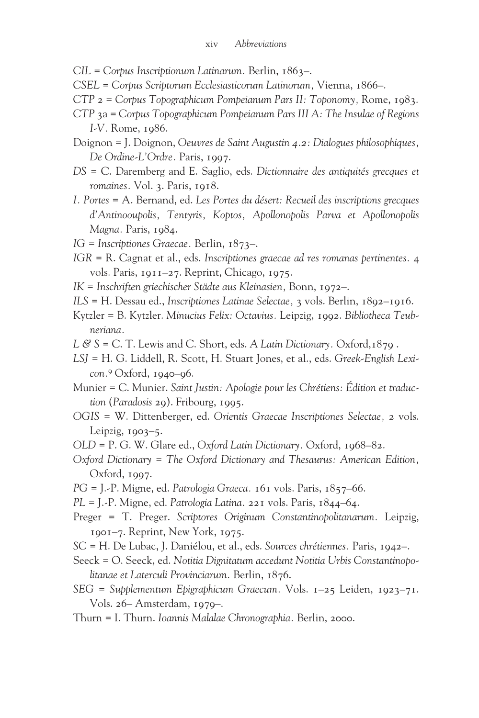- *CIL* = *Corpus Inscriptionum Latinarum.* Berlin, 1863–.
- *CSEL* = *Corpus Scriptorum Ecclesiasticorum Latinorum,* Vienna, 1866–.
- *CTP* 2 = *Corpus Topographicum Pompeianum Pars II: Toponomy,* Rome, 1983.
- *CTP* 3a = *Corpus Topographicum Pompeianum Pars III A: The Insulae of Regions I-V.* Rome, 1986.
- Doignon = J. Doignon, *Oeuvres de Saint Augustin 4.2: Dialogues philosophiques, De Ordine-L'Ordre.* Paris, 1997.
- *DS* = C. Daremberg and E. Saglio, eds. *Dictionnaire des antiquités grecques et romaines.* Vol. 3. Paris, 1918.
- *I. Portes* = A. Bernand, ed. *Les Portes du désert: Recueil des inscriptions grecques d'Antinooupolis, Tentyris, Koptos, Apollonopolis Parva et Apollonopolis Magna.* Paris, 1984.
- *IG* = *Inscriptiones Graecae.* Berlin, 1873–.
- *IGR* = R. Cagnat et al., eds. *Inscriptiones graecae ad res romanas pertinentes.* 4 vols. Paris, 1911–27. Reprint, Chicago, 1975.
- *IK* = *Inschriften griechischer Städte aus Kleinasien,* Bonn, 1972–.
- *ILS* = H. Dessau ed., *Inscriptiones Latinae Selectae,* 3 vols. Berlin, 1892–1916.
- Kytzler = B. Kytzler. *Minucius Felix: Octavius.* Leipzig, 1992. *Bibliotheca Teubneriana.*
- *L & S* = C. T. Lewis and C. Short, eds. *A Latin Dictionary.* Oxford,1879 .
- *LSJ* = H. G. Liddell, R. Scott, H. Stuart Jones, et al., eds. *Greek-English Lexicon.*<sup>9</sup> Oxford, 1940–96.
- Munier = C. Munier. *Saint Justin: Apologie pour les Chrétiens: Édition et traduction* (*Paradosis* 29). Fribourg, 1995.
- *OGIS* = W. Dittenberger, ed. *Orientis Graecae Inscriptiones Selectae,* 2 vols. Leipzig,  $1903-5$ .
- *OLD* = P. G. W. Glare ed., *Oxford Latin Dictionary.* Oxford, 1968–82.
- *Oxford Dictionary* = *The Oxford Dictionary and Thesaurus: American Edition,* Oxford, 1997.
- *PG* = J.-P. Migne, ed. *Patrologia Graeca.* 161 vols. Paris, 1857–66.
- *PL* = J.-P. Migne, ed. *Patrologia Latina.* 221 vols. Paris, 1844–64.
- Preger = T. Preger. *Scriptores Originum Constantinopolitanarum.* Leipzig, 1901–7. Reprint, New York, 1975.
- *SC* = H. De Lubac, J. Daniélou, et al., eds. *Sources chrétiennes.* Paris, 1942–.
- Seeck = O. Seeck, ed. *Notitia Dignitatum accedunt Notitia Urbis Constantinopolitanae et Laterculi Provinciarum.* Berlin, 1876.
- *SEG* = *Supplementum Epigraphicum Graecum.* Vols. 1–25 Leiden, 1923–71. Vols. 26– Amsterdam, 1979–.
- Thurn = I. Thurn. *Ioannis Malalae Chronographia.* Berlin, 2000.